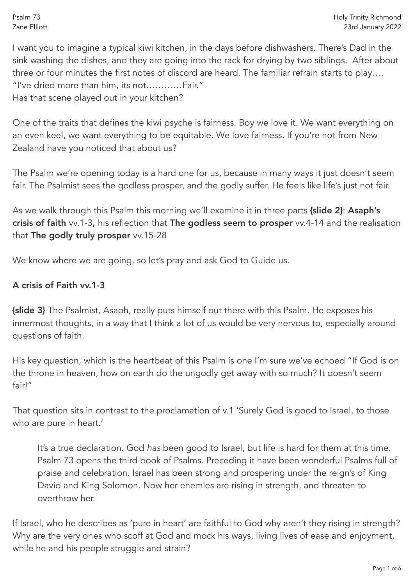I want you to imagine a typical kiwi kitchen, in the days before dishwashers. There's Dad in the sink washing the dishes, and they are going into the rack for drying by two siblings. After about three or four minutes the first notes of discord are heard. The familiar refrain starts to play…. "I've dried more than him, its not…………Fair." Has that scene played out in your kitchen?

One of the traits that defines the kiwi psyche is fairness. Boy we love it. We want everything on an even keel, we want everything to be equitable. We love fairness. If you're not from New Zealand have you noticed that about us?

The Psalm we're opening today is a hard one for us, because in many ways it just doesn't seem fair. The Psalmist sees the godless prosper, and the godly suffer. He feels like life's just not fair.

As we walk through this Psalm this morning we'll examine it in three parts {slide 2}: Asaph's crisis of faith vv.1-3, his reflection that The godless seem to prosper vv.4-14 and the realisation that The godly truly prosper vv.15-28

We know where we are going, so let's pray and ask God to Guide us.

## A crisis of Faith vv.1-3

{slide 3} The Psalmist, Asaph, really puts himself out there with this Psalm. He exposes his innermost thoughts, in a way that I think a lot of us would be very nervous to, especially around questions of faith.

His key question, which is the heartbeat of this Psalm is one I'm sure we've echoed "If God is on the throne in heaven, how on earth do the ungodly get away with so much? It doesn't seem fair!"

That question sits in contrast to the proclamation of v.1 'Surely God is good to Israel, to those who are pure in heart.'

It's a true declaration. God *has* been good to Israel, but life is hard for them at this time. Psalm 73 opens the third book of Psalms. Preceding it have been wonderful Psalms full of praise and celebration. Israel has been strong and prospering under the reign's of King David and King Solomon. Now her enemies are rising in strength, and threaten to overthrow her.

If Israel, who he describes as 'pure in heart' are faithful to God why aren't they rising in strength? Why are the very ones who scoff at God and mock his ways, living lives of ease and enjoyment, while he and his people struggle and strain?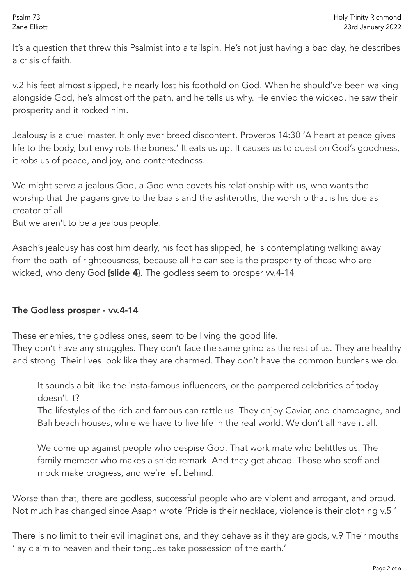It's a question that threw this Psalmist into a tailspin. He's not just having a bad day, he describes a crisis of faith.

v.2 his feet almost slipped, he nearly lost his foothold on God. When he should've been walking alongside God, he's almost off the path, and he tells us why. He envied the wicked, he saw their prosperity and it rocked him.

Jealousy is a cruel master. It only ever breed discontent. Proverbs 14:30 'A heart at peace gives life to the body, but envy rots the bones.' It eats us up. It causes us to question God's goodness, it robs us of peace, and joy, and contentedness.

We might serve a jealous God, a God who covets his relationship with us, who wants the worship that the pagans give to the baals and the ashteroths, the worship that is his due as creator of all.

But we aren't to be a jealous people.

Asaph's jealousy has cost him dearly, his foot has slipped, he is contemplating walking away from the path of righteousness, because all he can see is the prosperity of those who are wicked, who deny God {slide 4}. The godless seem to prosper vv.4-14

## The Godless prosper - vv.4-14

These enemies, the godless ones, seem to be living the good life.

They don't have any struggles. They don't face the same grind as the rest of us. They are healthy and strong. Their lives look like they are charmed. They don't have the common burdens we do.

It sounds a bit like the insta-famous influencers, or the pampered celebrities of today doesn't it?

The lifestyles of the rich and famous can rattle us. They enjoy Caviar, and champagne, and Bali beach houses, while we have to live life in the real world. We don't all have it all.

We come up against people who despise God. That work mate who belittles us. The family member who makes a snide remark. And they get ahead. Those who scoff and mock make progress, and we're left behind.

Worse than that, there are godless, successful people who are violent and arrogant, and proud. Not much has changed since Asaph wrote 'Pride is their necklace, violence is their clothing v.5 '

There is no limit to their evil imaginations, and they behave as if they are gods, v.9 Their mouths 'lay claim to heaven and their tongues take possession of the earth.'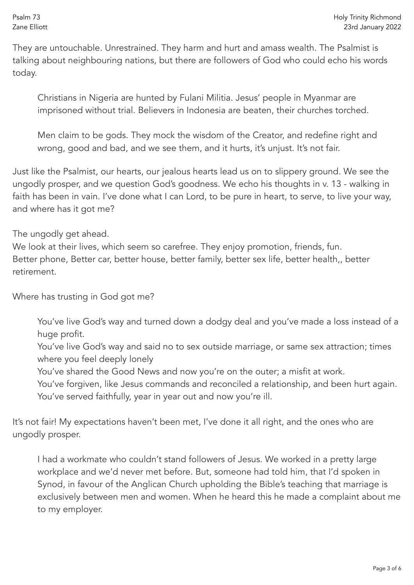They are untouchable. Unrestrained. They harm and hurt and amass wealth. The Psalmist is talking about neighbouring nations, but there are followers of God who could echo his words today.

Christians in Nigeria are hunted by Fulani Militia. Jesus' people in Myanmar are imprisoned without trial. Believers in Indonesia are beaten, their churches torched.

Men claim to be gods. They mock the wisdom of the Creator, and redefine right and wrong, good and bad, and we see them, and it hurts, it's unjust. It's not fair.

Just like the Psalmist, our hearts, our jealous hearts lead us on to slippery ground. We see the ungodly prosper, and we question God's goodness. We echo his thoughts in v. 13 - walking in faith has been in vain. I've done what I can Lord, to be pure in heart, to serve, to live your way, and where has it got me?

The ungodly get ahead.

We look at their lives, which seem so carefree. They enjoy promotion, friends, fun. Better phone, Better car, better house, better family, better sex life, better health,, better retirement.

Where has trusting in God got me?

You've live God's way and turned down a dodgy deal and you've made a loss instead of a huge profit.

You've live God's way and said no to sex outside marriage, or same sex attraction; times where you feel deeply lonely

You've shared the Good News and now you're on the outer; a misfit at work.

You've forgiven, like Jesus commands and reconciled a relationship, and been hurt again. You've served faithfully, year in year out and now you're ill.

It's not fair! My expectations haven't been met, I've done it all right, and the ones who are ungodly prosper.

I had a workmate who couldn't stand followers of Jesus. We worked in a pretty large workplace and we'd never met before. But, someone had told him, that I'd spoken in Synod, in favour of the Anglican Church upholding the Bible's teaching that marriage is exclusively between men and women. When he heard this he made a complaint about me to my employer.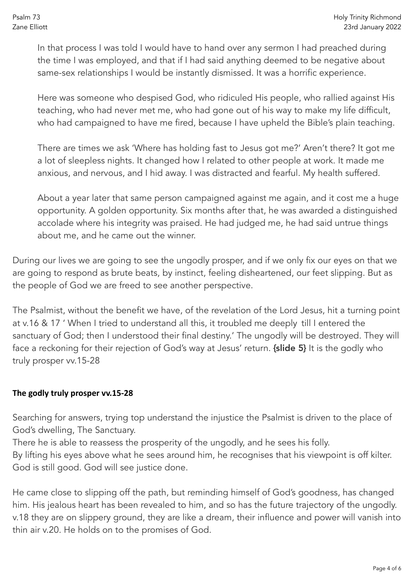In that process I was told I would have to hand over any sermon I had preached during the time I was employed, and that if I had said anything deemed to be negative about same-sex relationships I would be instantly dismissed. It was a horrific experience.

Here was someone who despised God, who ridiculed His people, who rallied against His teaching, who had never met me, who had gone out of his way to make my life difficult, who had campaigned to have me fired, because I have upheld the Bible's plain teaching.

There are times we ask 'Where has holding fast to Jesus got me?' Aren't there? It got me a lot of sleepless nights. It changed how I related to other people at work. It made me anxious, and nervous, and I hid away. I was distracted and fearful. My health suffered.

About a year later that same person campaigned against me again, and it cost me a huge opportunity. A golden opportunity. Six months after that, he was awarded a distinguished accolade where his integrity was praised. He had judged me, he had said untrue things about me, and he came out the winner.

During our lives we are going to see the ungodly prosper, and if we only fix our eyes on that we are going to respond as brute beats, by instinct, feeling disheartened, our feet slipping. But as the people of God we are freed to see another perspective.

The Psalmist, without the benefit we have, of the revelation of the Lord Jesus, hit a turning point at v.16 & 17 ' When I tried to understand all this, it troubled me deeply till I entered the sanctuary of God; then I understood their final destiny.' The ungodly will be destroyed. They will face a reckoning for their rejection of God's way at Jesus' return. {slide 5} It is the godly who truly prosper vv.15-28

## **The godly truly prosper vv.15-28**

Searching for answers, trying top understand the injustice the Psalmist is driven to the place of God's dwelling, The Sanctuary.

There he is able to reassess the prosperity of the ungodly, and he sees his folly.

By lifting his eyes above what he sees around him, he recognises that his viewpoint is off kilter. God is still good. God will see justice done.

He came close to slipping off the path, but reminding himself of God's goodness, has changed him. His jealous heart has been revealed to him, and so has the future trajectory of the ungodly. v.18 they are on slippery ground, they are like a dream, their influence and power will vanish into thin air v.20. He holds on to the promises of God.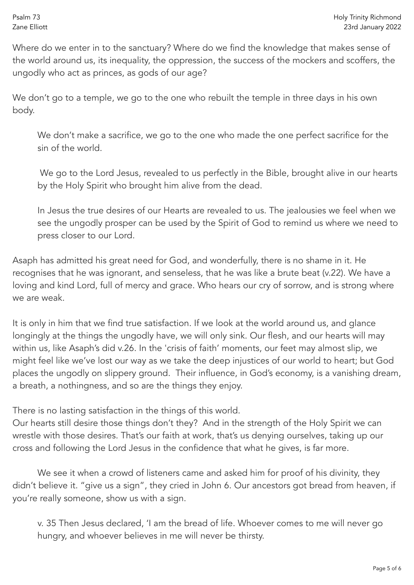Where do we enter in to the sanctuary? Where do we find the knowledge that makes sense of the world around us, its inequality, the oppression, the success of the mockers and scoffers, the ungodly who act as princes, as gods of our age?

We don't go to a temple, we go to the one who rebuilt the temple in three days in his own body.

We don't make a sacrifice, we go to the one who made the one perfect sacrifice for the sin of the world.

 We go to the Lord Jesus, revealed to us perfectly in the Bible, brought alive in our hearts by the Holy Spirit who brought him alive from the dead.

In Jesus the true desires of our Hearts are revealed to us. The jealousies we feel when we see the ungodly prosper can be used by the Spirit of God to remind us where we need to press closer to our Lord.

Asaph has admitted his great need for God, and wonderfully, there is no shame in it. He recognises that he was ignorant, and senseless, that he was like a brute beat (v.22). We have a loving and kind Lord, full of mercy and grace. Who hears our cry of sorrow, and is strong where we are weak.

It is only in him that we find true satisfaction. If we look at the world around us, and glance longingly at the things the ungodly have, we will only sink. Our flesh, and our hearts will may within us, like Asaph's did v.26. In the 'crisis of faith' moments, our feet may almost slip, we might feel like we've lost our way as we take the deep injustices of our world to heart; but God places the ungodly on slippery ground. Their influence, in God's economy, is a vanishing dream, a breath, a nothingness, and so are the things they enjoy.

There is no lasting satisfaction in the things of this world.

Our hearts still desire those things don't they? And in the strength of the Holy Spirit we can wrestle with those desires. That's our faith at work, that's us denying ourselves, taking up our cross and following the Lord Jesus in the confidence that what he gives, is far more.

We see it when a crowd of listeners came and asked him for proof of his divinity, they didn't believe it. "give us a sign", they cried in John 6. Our ancestors got bread from heaven, if you're really someone, show us with a sign.

v. 35 Then Jesus declared, 'I am the bread of life. Whoever comes to me will never go hungry, and whoever believes in me will never be thirsty.